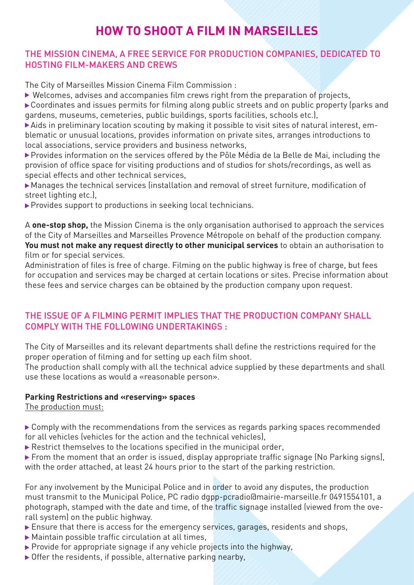# **HOW TO SHOOT A FILM IN MARSEILLES**

## THE MISSION CINEMA, A FREE SERVICE FOR PRODUCTION COMPANIES, DEDICATED TO HOSTING FILM-MAKERS AND CREWS

The City of Marseilles Mission Cinema Film Commission :

 $\triangleright$  Welcomes, advises and accompanies film crews right from the preparation of projects,

▶ Coordinates and issues permits for filming along public streets and on public property (parks and gardens, museums, cemeteries, public buildings, sports facilities, schools etc.),

- Aids in preliminary location scouting by making it possible to visit sites of natural interest, emblematic or unusual locations, provides information on private sites, arranges introductions to local associations, service providers and business networks,

- Provides information on the services offered by the Pôle Média de la Belle de Mai, including the provision of office space for visiting productions and of studios for shots/recordings, as well as special effects and other technical services,

- Manages the technical services (installation and removal of street furniture, modification of street lighting etc.),

**Provides support to productions in seeking local technicians.** 

A **one-stop shop,** the Mission Cinema is the only organisation authorised to approach the services of the City of Marseilles and Marseilles Provence Métropole on behalf of the production company. **You must not make any request directly to other municipal services** to obtain an authorisation to film or for special services.

Administration of files is free of charge. Filming on the public highway is free of charge, but fees for occupation and services may be charged at certain locations or sites. Precise information about these fees and service charges can be obtained by the production company upon request.

## THE ISSUE OF A FILMING PERMIT IMPLIES THAT THE PRODUCTION COMPANY SHALL COMPLY WITH THE FOLLOWING UNDERTAKINGS :

The City of Marseilles and its relevant departments shall define the restrictions required for the proper operation of filming and for setting up each film shoot.

The production shall comply with all the technical advice supplied by these departments and shall use these locations as would a «reasonable person».

## **Parking Restrictions and «reserving» spaces**

The production must:

▶ Comply with the recommendations from the services as regards parking spaces recommended for all vehicles (vehicles for the action and the technical vehicles),

Restrict themselves to the locations specified in the municipal order,

 From the moment that an order is issued, display appropriate traffic signage (No Parking signs), with the order attached, at least 24 hours prior to the start of the parking restriction.

For any involvement by the Municipal Police and in order to avoid any disputes, the production must transmit to the Municipal Police, PC radio dgpp-pcradio@mairie-marseille.fr 0491554101, a photograph, stamped with the date and time, of the traffic signage installed (viewed from the overall system) on the public highway.

- Ensure that there is access for the emergency services, garages, residents and shops,
- $\triangleright$  Maintain possible traffic circulation at all times,
- $\triangleright$  Provide for appropriate signage if any vehicle projects into the highway,
- $\triangleright$  Offer the residents, if possible, alternative parking nearby,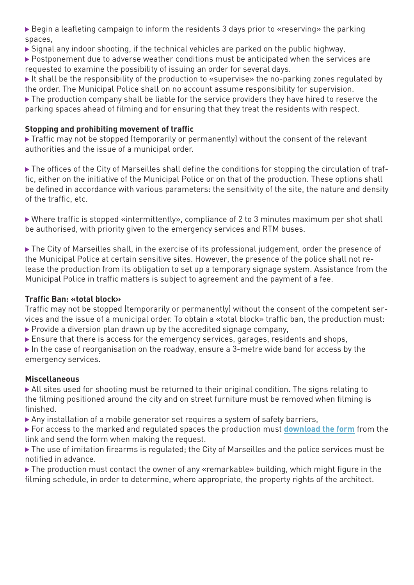Begin a leafleting campaign to inform the residents 3 days prior to «reserving» the parking spaces,

 $\triangleright$  Signal any indoor shooting, if the technical vehicles are parked on the public highway,

▶ Postponement due to adverse weather conditions must be anticipated when the services are requested to examine the possibility of issuing an order for several days.

It shall be the responsibility of the production to «supervise» the no-parking zones regulated by the order. The Municipal Police shall on no account assume responsibility for supervision.

The production company shall be liable for the service providers they have hired to reserve the parking spaces ahead of filming and for ensuring that they treat the residents with respect.

#### **Stopping and prohibiting movement of traffic**

▶ Traffic may not be stopped (temporarily or permanently) without the consent of the relevant authorities and the issue of a municipal order.

▶ The offices of the City of Marseilles shall define the conditions for stopping the circulation of traffic, either on the initiative of the Municipal Police or on that of the production. These options shall be defined in accordance with various parameters: the sensitivity of the site, the nature and density of the traffic, etc.

 Where traffic is stopped «intermittently», compliance of 2 to 3 minutes maximum per shot shall be authorised, with priority given to the emergency services and RTM buses.

▶ The City of Marseilles shall, in the exercise of its professional judgement, order the presence of the Municipal Police at certain sensitive sites. However, the presence of the police shall not release the production from its obligation to set up a temporary signage system. Assistance from the Municipal Police in traffic matters is subject to agreement and the payment of a fee.

## **Traffic Ban: «total block»**

Traffic may not be stopped (temporarily or permanently) without the consent of the competent services and the issue of a municipal order. To obtain a «total block» traffic ban, the production must:  $\triangleright$  Provide a diversion plan drawn up by the accredited signage company,

Ensure that there is access for the emergency services, garages, residents and shops,

In the case of reorganisation on the roadway, ensure a 3-metre wide band for access by the emergency services.

#### **Miscellaneous**

 All sites used for shooting must be returned to their original condition. The signs relating to the filming positioned around the city and on street furniture must be removed when filming is finished.

Any installation of a mobile generator set requires a system of safety barriers,

 For access to the marked and regulated spaces the production must **[download the form](http://www.marseille.fr/sites/default/files/pdf/formulaire_zone_pietonne.pdf)** from the link and send the form when making the request.

▶ The use of imitation firearms is regulated; the City of Marseilles and the police services must be notified in advance.

▶ The production must contact the owner of any «remarkable» building, which might figure in the filming schedule, in order to determine, where appropriate, the property rights of the architect.